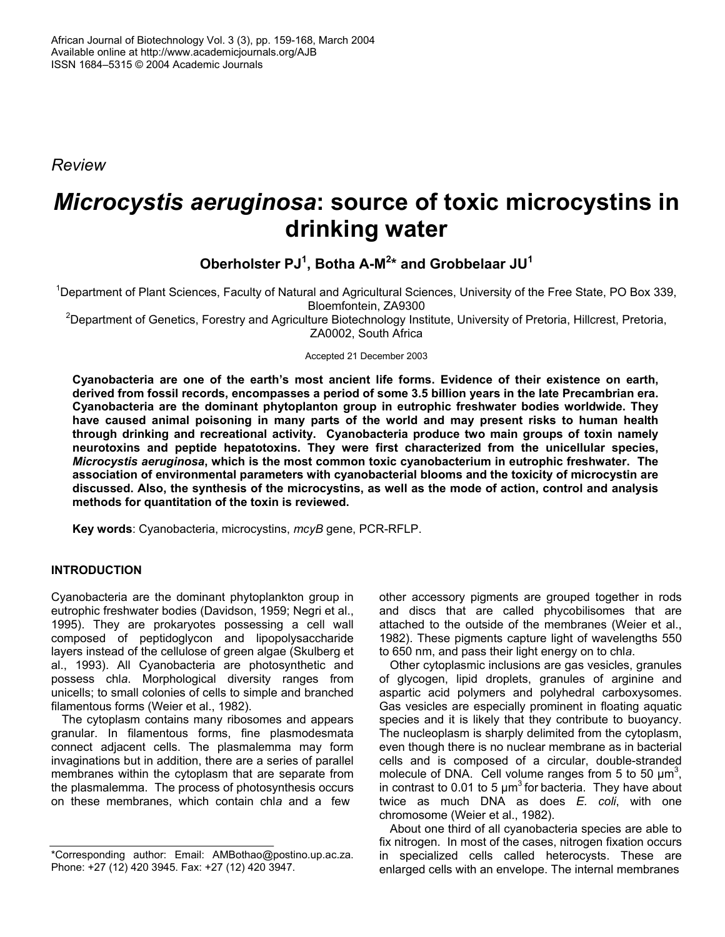*Review* 

# *Microcystis aeruginosa***: source of toxic microcystins in drinking water**

**Oberholster PJ1 , Botha A-M<sup>2</sup> \* and Grobbelaar JU1**

<sup>1</sup>Department of Plant Sciences, Faculty of Natural and Agricultural Sciences, University of the Free State, PO Box 339, Bloemfontein, ZA9300

<sup>2</sup>Department of Genetics, Forestry and Agriculture Biotechnology Institute, University of Pretoria, Hillcrest, Pretoria, ZA0002, South Africa

Accepted 21 December 2003

**Cyanobacteria are one of the earth's most ancient life forms. Evidence of their existence on earth, derived from fossil records, encompasses a period of some 3.5 billion years in the late Precambrian era. Cyanobacteria are the dominant phytoplanton group in eutrophic freshwater bodies worldwide. They have caused animal poisoning in many parts of the world and may present risks to human health through drinking and recreational activity. Cyanobacteria produce two main groups of toxin namely neurotoxins and peptide hepatotoxins. They were first characterized from the unicellular species,**  *Microcystis aeruginosa***, which is the most common toxic cyanobacterium in eutrophic freshwater. The association of environmental parameters with cyanobacterial blooms and the toxicity of microcystin are discussed. Also, the synthesis of the microcystins, as well as the mode of action, control and analysis methods for quantitation of the toxin is reviewed.** 

**Key words**: Cyanobacteria, microcystins, *mcyB* gene, PCR-RFLP.

## **INTRODUCTION**

Cyanobacteria are the dominant phytoplankton group in eutrophic freshwater bodies (Davidson, 1959; Negri et al., 1995). They are prokaryotes possessing a cell wall composed of peptidoglycon and lipopolysaccharide layers instead of the cellulose of green algae (Skulberg et al., 1993). All Cyanobacteria are photosynthetic and possess chl*a*. Morphological diversity ranges from unicells; to small colonies of cells to simple and branched filamentous forms (Weier et al., 1982).

The cytoplasm contains many ribosomes and appears granular. In filamentous forms, fine plasmodesmata connect adjacent cells. The plasmalemma may form invaginations but in addition, there are a series of parallel membranes within the cytoplasm that are separate from the plasmalemma. The process of photosynthesis occurs on these membranes, which contain chl*a* and a few

other accessory pigments are grouped together in rods and discs that are called phycobilisomes that are attached to the outside of the membranes (Weier et al., 1982). These pigments capture light of wavelengths 550 to 650 nm, and pass their light energy on to chl*a*.

Other cytoplasmic inclusions are gas vesicles, granules of glycogen, lipid droplets, granules of arginine and aspartic acid polymers and polyhedral carboxysomes. Gas vesicles are especially prominent in floating aquatic species and it is likely that they contribute to buoyancy. The nucleoplasm is sharply delimited from the cytoplasm, even though there is no nuclear membrane as in bacterial cells and is composed of a circular, double-stranded molecule of DNA. Cell volume ranges from 5 to 50  $\mu$ m<sup>3</sup>, in contrast to 0.01 to 5  $\mu$ m<sup>3</sup> for bacteria. They have about twice as much DNA as does *E. coli*, with one chromosome (Weier et al., 1982).

About one third of all cyanobacteria species are able to fix nitrogen. In most of the cases, nitrogen fixation occurs in specialized cells called heterocysts. These are enlarged cells with an envelope. The internal membranes

<sup>\*</sup>Corresponding author: Email: AMBothao@postino.up.ac.za. Phone: +27 (12) 420 3945. Fax: +27 (12) 420 3947.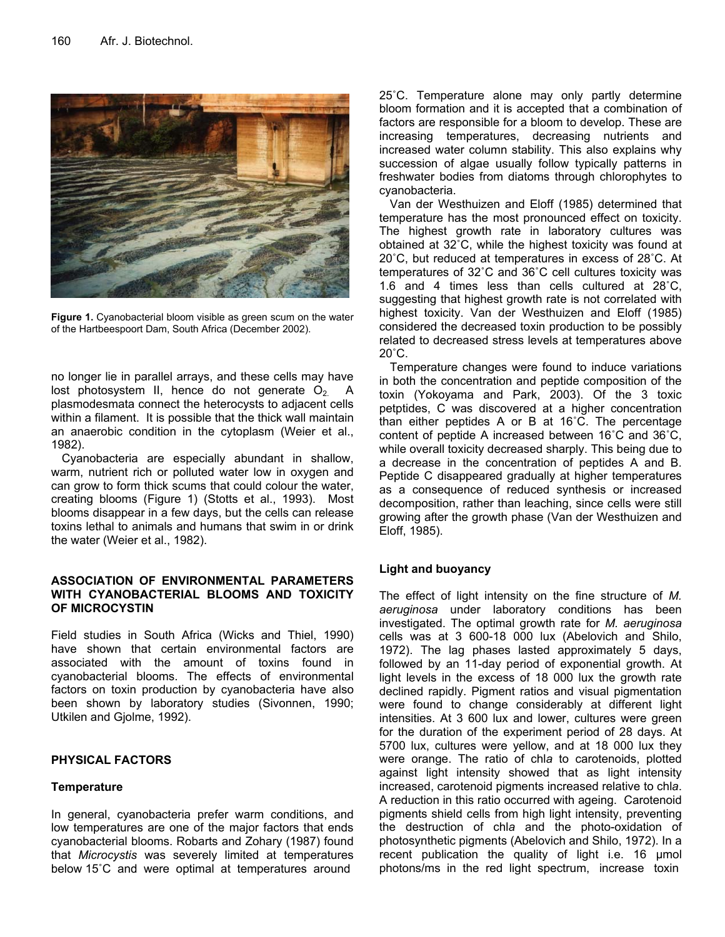

**Figure 1.** Cyanobacterial bloom visible as green scum on the water of the Hartbeespoort Dam, South Africa (December 2002).

no longer lie in parallel arrays, and these cells may have lost photosystem II, hence do not generate  $O_2$ . A plasmodesmata connect the heterocysts to adjacent cells within a filament. It is possible that the thick wall maintain an anaerobic condition in the cytoplasm (Weier et al., 1982).

Cyanobacteria are especially abundant in shallow, warm, nutrient rich or polluted water low in oxygen and can grow to form thick scums that could colour the water, creating blooms (Figure 1) (Stotts et al., 1993). Most blooms disappear in a few days, but the cells can release toxins lethal to animals and humans that swim in or drink the water (Weier et al., 1982).

## **ASSOCIATION OF ENVIRONMENTAL PARAMETERS WITH CYANOBACTERIAL BLOOMS AND TOXICITY OF MICROCYSTIN**

Field studies in South Africa (Wicks and Thiel, 1990) have shown that certain environmental factors are associated with the amount of toxins found in cyanobacterial blooms. The effects of environmental factors on toxin production by cyanobacteria have also been shown by laboratory studies (Sivonnen, 1990; Utkilen and Gjolme, 1992).

## **PHYSICAL FACTORS**

## **Temperature**

In general, cyanobacteria prefer warm conditions, and low temperatures are one of the major factors that ends cyanobacterial blooms. Robarts and Zohary (1987) found that *Microcystis* was severely limited at temperatures below 15˚C and were optimal at temperatures around

25˚C. Temperature alone may only partly determine bloom formation and it is accepted that a combination of factors are responsible for a bloom to develop. These are increasing temperatures, decreasing nutrients and increased water column stability. This also explains why succession of algae usually follow typically patterns in freshwater bodies from diatoms through chlorophytes to cyanobacteria.

Van der Westhuizen and Eloff (1985) determined that temperature has the most pronounced effect on toxicity. The highest growth rate in laboratory cultures was obtained at 32˚C, while the highest toxicity was found at 20˚C, but reduced at temperatures in excess of 28˚C. At temperatures of 32˚C and 36˚C cell cultures toxicity was 1.6 and 4 times less than cells cultured at 28˚C, suggesting that highest growth rate is not correlated with highest toxicity. Van der Westhuizen and Eloff (1985) considered the decreased toxin production to be possibly related to decreased stress levels at temperatures above  $20^{\circ}$ C.

Temperature changes were found to induce variations in both the concentration and peptide composition of the toxin (Yokoyama and Park, 2003). Of the 3 toxic petptides, C was discovered at a higher concentration than either peptides A or B at 16˚C. The percentage content of peptide A increased between 16˚C and 36˚C, while overall toxicity decreased sharply. This being due to a decrease in the concentration of peptides A and B. Peptide C disappeared gradually at higher temperatures as a consequence of reduced synthesis or increased decomposition, rather than leaching, since cells were still growing after the growth phase (Van der Westhuizen and Eloff, 1985).

## **Light and buoyancy**

The effect of light intensity on the fine structure of *M. aeruginosa* under laboratory conditions has been investigated. The optimal growth rate for *M. aeruginosa* cells was at 3 600-18 000 lux (Abelovich and Shilo, 1972). The lag phases lasted approximately 5 days, followed by an 11-day period of exponential growth. At light levels in the excess of 18 000 lux the growth rate declined rapidly. Pigment ratios and visual pigmentation were found to change considerably at different light intensities. At 3 600 lux and lower, cultures were green for the duration of the experiment period of 28 days. At 5700 lux, cultures were yellow, and at 18 000 lux they were orange. The ratio of chl*a* to carotenoids, plotted against light intensity showed that as light intensity increased, carotenoid pigments increased relative to chl*a*. A reduction in this ratio occurred with ageing. Carotenoid pigments shield cells from high light intensity, preventing the destruction of chl*a* and the photo-oxidation of photosynthetic pigments (Abelovich and Shilo, 1972). In a recent publication the quality of light i.e. 16 µmol photons/ms in the red light spectrum, increase toxin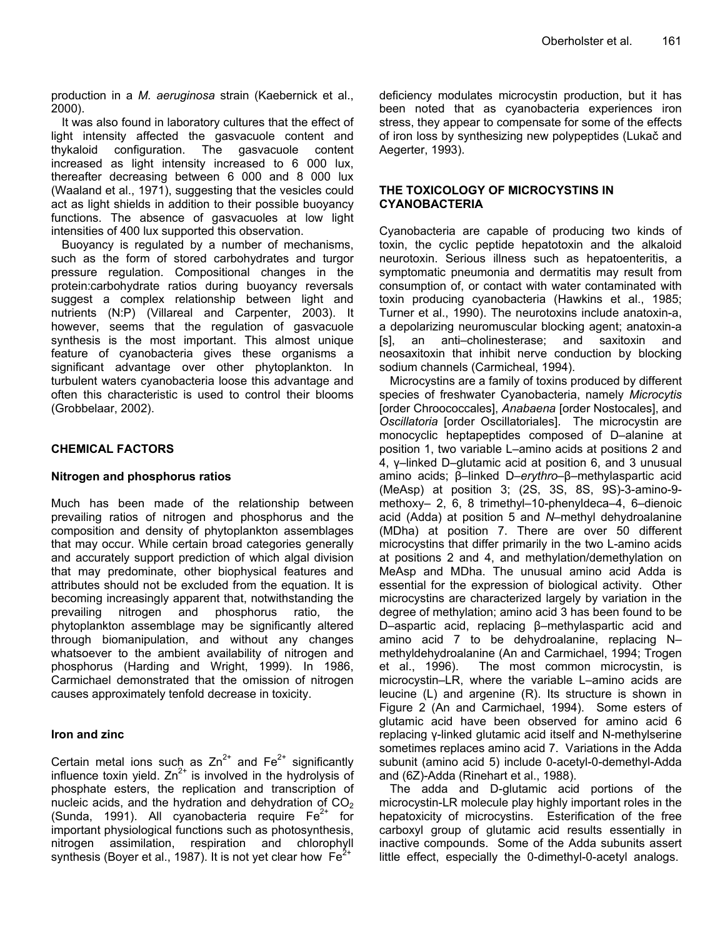production in a *M. aeruginosa* strain (Kaebernick et al., 2000).

It was also found in laboratory cultures that the effect of light intensity affected the gasvacuole content and thykaloid configuration. The gasvacuole content increased as light intensity increased to 6 000 lux, thereafter decreasing between 6 000 and 8 000 lux (Waaland et al., 1971), suggesting that the vesicles could act as light shields in addition to their possible buoyancy functions. The absence of gasvacuoles at low light intensities of 400 lux supported this observation.

Buoyancy is regulated by a number of mechanisms, such as the form of stored carbohydrates and turgor pressure regulation. Compositional changes in the protein:carbohydrate ratios during buoyancy reversals suggest a complex relationship between light and nutrients (N:P) (Villareal and Carpenter, 2003). It however, seems that the regulation of gasvacuole synthesis is the most important. This almost unique feature of cyanobacteria gives these organisms a significant advantage over other phytoplankton. In turbulent waters cyanobacteria loose this advantage and often this characteristic is used to control their blooms (Grobbelaar, 2002).

## **CHEMICAL FACTORS**

## **Nitrogen and phosphorus ratios**

Much has been made of the relationship between prevailing ratios of nitrogen and phosphorus and the composition and density of phytoplankton assemblages that may occur. While certain broad categories generally and accurately support prediction of which algal division that may predominate, other biophysical features and attributes should not be excluded from the equation. It is becoming increasingly apparent that, notwithstanding the prevailing nitrogen and phosphorus ratio, the phytoplankton assemblage may be significantly altered through biomanipulation, and without any changes whatsoever to the ambient availability of nitrogen and phosphorus (Harding and Wright, 1999). In 1986, Carmichael demonstrated that the omission of nitrogen causes approximately tenfold decrease in toxicity.

## **Iron and zinc**

Certain metal ions such as  $Zn^{2+}$  and  $Fe^{2+}$  significantly influence toxin yield.  $Zn^{2+}$  is involved in the hydrolysis of phosphate esters, the replication and transcription of nucleic acids, and the hydration and dehydration of  $CO<sub>2</sub>$ (Sunda, 1991). All cyanobacteria require  $Fe<sup>2+</sup>$  for important physiological functions such as photosynthesis, nitrogen assimilation, respiration and chlorophyll synthesis (Boyer et al., 1987). It is not yet clear how  $Fe<sup>2+</sup>$ 

deficiency modulates microcystin production, but it has been noted that as cyanobacteria experiences iron stress, they appear to compensate for some of the effects of iron loss by synthesizing new polypeptides (Lukač and Aegerter, 1993).

## **THE TOXICOLOGY OF MICROCYSTINS IN CYANOBACTERIA**

Cyanobacteria are capable of producing two kinds of toxin, the cyclic peptide hepatotoxin and the alkaloid neurotoxin. Serious illness such as hepatoenteritis, a symptomatic pneumonia and dermatitis may result from consumption of, or contact with water contaminated with toxin producing cyanobacteria (Hawkins et al., 1985; Turner et al., 1990). The neurotoxins include anatoxin-a, a depolarizing neuromuscular blocking agent; anatoxin-a [s], an anti–cholinesterase; and saxitoxin and neosaxitoxin that inhibit nerve conduction by blocking sodium channels (Carmicheal, 1994).

Microcystins are a family of toxins produced by different species of freshwater Cyanobacteria, namely *Microcytis* [order Chroococcales], *Anabaena* [order Nostocales], and *Oscillatoria* [order Oscillatoriales]. The microcystin are monocyclic heptapeptides composed of D–alanine at position 1, two variable L–amino acids at positions 2 and 4, γ–linked D–glutamic acid at position 6, and 3 unusual amino acids; β–linked D–*erythro*–β–methylaspartic acid (MeAsp) at position 3; (2S, 3S, 8S, 9S)-3-amino-9 methoxy– 2, 6, 8 trimethyl–10-phenyldeca–4, 6–dienoic acid (Adda) at position 5 and *N*–methyl dehydroalanine (MDha) at position 7. There are over 50 different microcystins that differ primarily in the two L-amino acids at positions 2 and 4, and methylation/demethylation on MeAsp and MDha. The unusual amino acid Adda is essential for the expression of biological activity. Other microcystins are characterized largely by variation in the degree of methylation; amino acid 3 has been found to be D–aspartic acid, replacing β–methylaspartic acid and amino acid 7 to be dehydroalanine, replacing N– methyldehydroalanine (An and Carmichael, 1994; Trogen et al., 1996). The most common microcystin, is microcystin–LR, where the variable L–amino acids are leucine (L) and argenine (R). Its structure is shown in Figure 2 (An and Carmichael, 1994). Some esters of glutamic acid have been observed for amino acid 6 replacing γ-linked glutamic acid itself and N-methylserine sometimes replaces amino acid 7. Variations in the Adda subunit (amino acid 5) include 0-acetyl-0-demethyl-Adda and (6Z)-Adda (Rinehart et al., 1988).

The adda and D-glutamic acid portions of the microcystin-LR molecule play highly important roles in the hepatoxicity of microcystins. Esterification of the free carboxyl group of glutamic acid results essentially in inactive compounds. Some of the Adda subunits assert little effect, especially the 0-dimethyl-0-acetyl analogs.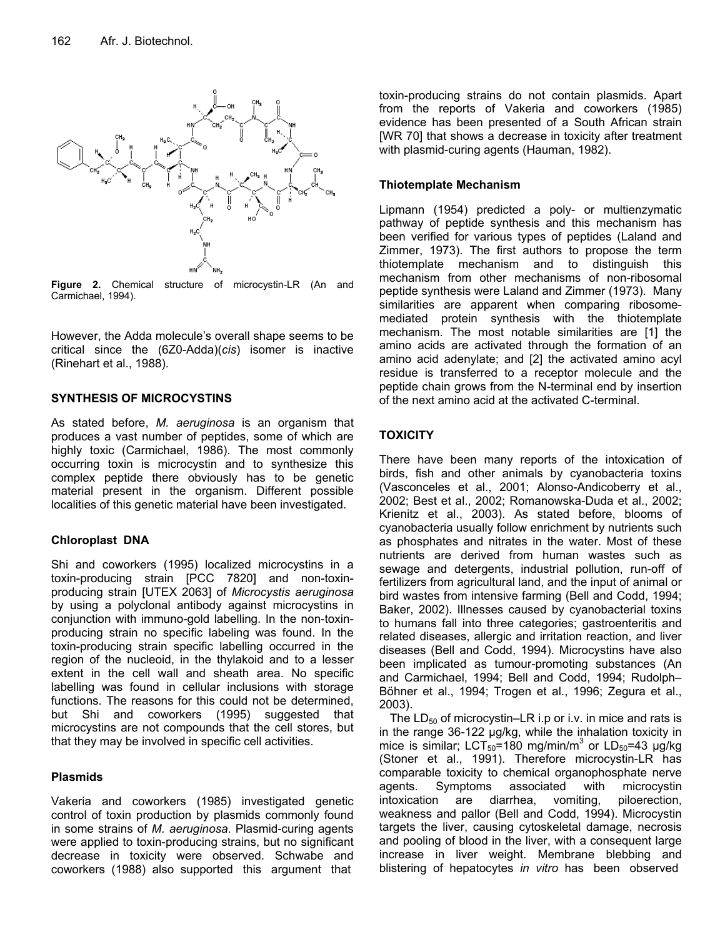

**Figure 2.** Chemical structure of microcystin-LR (An and Carmichael, 1994).

However, the Adda molecule's overall shape seems to be critical since the (6Z0-Adda)(*cis*) isomer is inactive (Rinehart et al., 1988).

## **SYNTHESIS OF MICROCYSTINS**

As stated before, *M. aeruginosa* is an organism that produces a vast number of peptides, some of which are highly toxic (Carmichael, 1986). The most commonly occurring toxin is microcystin and to synthesize this complex peptide there obviously has to be genetic material present in the organism. Different possible localities of this genetic material have been investigated.

## **Chloroplast DNA**

Shi and coworkers (1995) localized microcystins in a toxin-producing strain [PCC 7820] and non-toxinproducing strain [UTEX 2063] of *Microcystis aeruginosa* by using a polyclonal antibody against microcystins in conjunction with immuno-gold labelling. In the non-toxinproducing strain no specific labeling was found. In the toxin-producing strain specific labelling occurred in the region of the nucleoid, in the thylakoid and to a lesser extent in the cell wall and sheath area. No specific labelling was found in cellular inclusions with storage functions. The reasons for this could not be determined, but Shi and coworkers (1995) suggested that microcystins are not compounds that the cell stores, but that they may be involved in specific cell activities.

## **Plasmids**

Vakeria and coworkers (1985) investigated genetic control of toxin production by plasmids commonly found in some strains of *M. aeruginosa*. Plasmid-curing agents were applied to toxin-producing strains, but no significant decrease in toxicity were observed. Schwabe and coworkers (1988) also supported this argument that

toxin-producing strains do not contain plasmids. Apart from the reports of Vakeria and coworkers (1985) evidence has been presented of a South African strain [WR 70] that shows a decrease in toxicity after treatment with plasmid-curing agents (Hauman, 1982).

## **Thiotemplate Mechanism**

Lipmann (1954) predicted a poly- or multienzymatic pathway of peptide synthesis and this mechanism has been verified for various types of peptides (Laland and Zimmer, 1973). The first authors to propose the term thiotemplate mechanism and to distinguish this mechanism from other mechanisms of non-ribosomal peptide synthesis were Laland and Zimmer (1973). Many similarities are apparent when comparing ribosomemediated protein synthesis with the thiotemplate mechanism. The most notable similarities are [1] the amino acids are activated through the formation of an amino acid adenylate; and [2] the activated amino acyl residue is transferred to a receptor molecule and the peptide chain grows from the N-terminal end by insertion of the next amino acid at the activated C-terminal.

## **TOXICITY**

There have been many reports of the intoxication of birds, fish and other animals by cyanobacteria toxins (Vasconceles et al., 2001; Alonso-Andicoberry et al., 2002; Best et al., 2002; Romanowska-Duda et al., 2002; Krienitz et al., 2003). As stated before, blooms of cyanobacteria usually follow enrichment by nutrients such as phosphates and nitrates in the water. Most of these nutrients are derived from human wastes such as sewage and detergents, industrial pollution, run-off of fertilizers from agricultural land, and the input of animal or bird wastes from intensive farming (Bell and Codd, 1994; Baker, 2002). Illnesses caused by cyanobacterial toxins to humans fall into three categories; gastroenteritis and related diseases, allergic and irritation reaction, and liver diseases (Bell and Codd, 1994). Microcystins have also been implicated as tumour-promoting substances (An and Carmichael, 1994; Bell and Codd, 1994; Rudolph– Böhner et al., 1994; Trogen et al., 1996; Zegura et al., 2003).

The  $LD_{50}$  of microcystin–LR i.p or i.v. in mice and rats is in the range 36-122 µg/kg, while the inhalation toxicity in mice is similar;  $LCT_{50} = 180$  mg/min/m<sup>3</sup> or  $LD_{50} = 43$  µg/kg (Stoner et al., 1991). Therefore microcystin-LR has comparable toxicity to chemical organophosphate nerve agents. Symptoms associated with microcystin intoxication are diarrhea, vomiting, piloerection, weakness and pallor (Bell and Codd, 1994). Microcystin targets the liver, causing cytoskeletal damage, necrosis and pooling of blood in the liver, with a consequent large increase in liver weight. Membrane blebbing and blistering of hepatocytes *in vitro* has been observed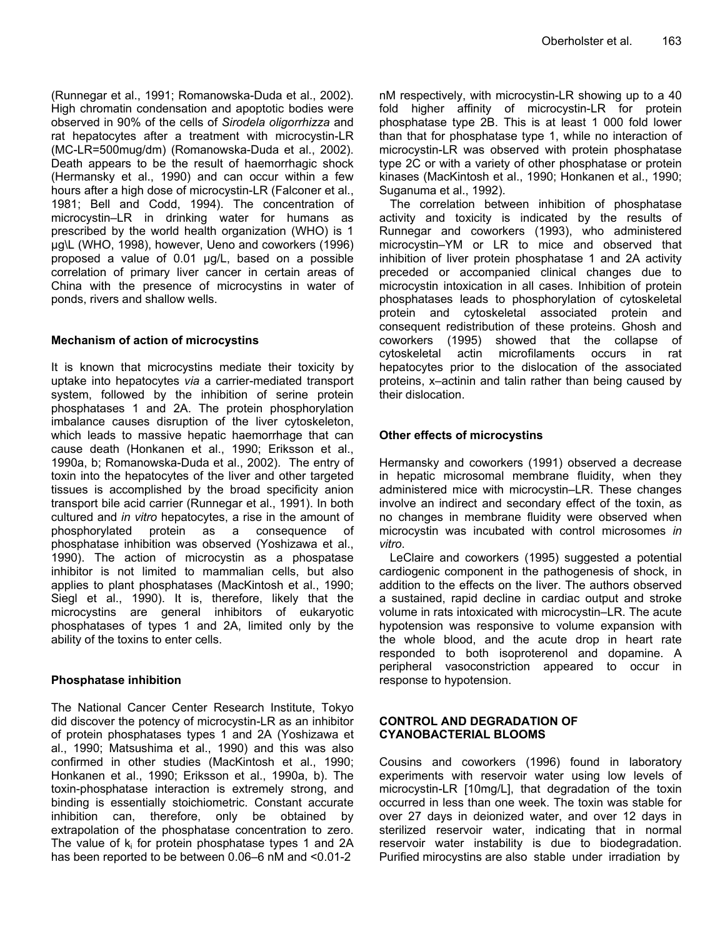(Runnegar et al., 1991; Romanowska-Duda et al., 2002). High chromatin condensation and apoptotic bodies were observed in 90% of the cells of *Sirodela oligorrhizza* and rat hepatocytes after a treatment with microcystin-LR (MC-LR=500mug/dm) (Romanowska-Duda et al., 2002). Death appears to be the result of haemorrhagic shock (Hermansky et al., 1990) and can occur within a few hours after a high dose of microcystin-LR (Falconer et al., 1981; Bell and Codd, 1994). The concentration of microcystin–LR in drinking water for humans as prescribed by the world health organization (WHO) is 1 µg\L (WHO, 1998), however, Ueno and coworkers (1996) proposed a value of 0.01 µg/L, based on a possible correlation of primary liver cancer in certain areas of China with the presence of microcystins in water of ponds, rivers and shallow wells.

## **Mechanism of action of microcystins**

It is known that microcystins mediate their toxicity by uptake into hepatocytes *via* a carrier-mediated transport system, followed by the inhibition of serine protein phosphatases 1 and 2A. The protein phosphorylation imbalance causes disruption of the liver cytoskeleton, which leads to massive hepatic haemorrhage that can cause death (Honkanen et al., 1990; Eriksson et al., 1990a, b; Romanowska-Duda et al., 2002). The entry of toxin into the hepatocytes of the liver and other targeted tissues is accomplished by the broad specificity anion transport bile acid carrier (Runnegar et al., 1991). In both cultured and *in vitro* hepatocytes, a rise in the amount of phosphorylated protein as a consequence of phosphatase inhibition was observed (Yoshizawa et al., 1990). The action of microcystin as a phospatase inhibitor is not limited to mammalian cells, but also applies to plant phosphatases (MacKintosh et al., 1990; Siegl et al., 1990). It is, therefore, likely that the microcystins are general inhibitors of eukaryotic phosphatases of types 1 and 2A, limited only by the ability of the toxins to enter cells.

## **Phosphatase inhibition**

The National Cancer Center Research Institute, Tokyo did discover the potency of microcystin-LR as an inhibitor of protein phosphatases types 1 and 2A (Yoshizawa et al., 1990; Matsushima et al., 1990) and this was also confirmed in other studies (MacKintosh et al., 1990; Honkanen et al., 1990; Eriksson et al., 1990a, b). The toxin-phosphatase interaction is extremely strong, and binding is essentially stoichiometric. Constant accurate inhibition can, therefore, only be obtained by extrapolation of the phosphatase concentration to zero. The value of  $k_i$  for protein phosphatase types 1 and 2A has been reported to be between 0.06–6 nM and <0.01-2

nM respectively, with microcystin-LR showing up to a 40 fold higher affinity of microcystin-LR for protein phosphatase type 2B. This is at least 1 000 fold lower than that for phosphatase type 1, while no interaction of microcystin-LR was observed with protein phosphatase type 2C or with a variety of other phosphatase or protein kinases (MacKintosh et al., 1990; Honkanen et al., 1990; Suganuma et al., 1992).

The correlation between inhibition of phosphatase activity and toxicity is indicated by the results of Runnegar and coworkers (1993), who administered microcystin–YM or LR to mice and observed that inhibition of liver protein phosphatase 1 and 2A activity preceded or accompanied clinical changes due to microcystin intoxication in all cases. Inhibition of protein phosphatases leads to phosphorylation of cytoskeletal protein and cytoskeletal associated protein and consequent redistribution of these proteins. Ghosh and coworkers (1995) showed that the collapse of cytoskeletal actin microfilaments occurs in rat hepatocytes prior to the dislocation of the associated proteins, x–actinin and talin rather than being caused by their dislocation.

## **Other effects of microcystins**

Hermansky and coworkers (1991) observed a decrease in hepatic microsomal membrane fluidity, when they administered mice with microcystin–LR. These changes involve an indirect and secondary effect of the toxin, as no changes in membrane fluidity were observed when microcystin was incubated with control microsomes *in vitro*.

LeClaire and coworkers (1995) suggested a potential cardiogenic component in the pathogenesis of shock, in addition to the effects on the liver. The authors observed a sustained, rapid decline in cardiac output and stroke volume in rats intoxicated with microcystin–LR. The acute hypotension was responsive to volume expansion with the whole blood, and the acute drop in heart rate responded to both isoproterenol and dopamine. A peripheral vasoconstriction appeared to occur in response to hypotension.

## **CONTROL AND DEGRADATION OF CYANOBACTERIAL BLOOMS**

Cousins and coworkers (1996) found in laboratory experiments with reservoir water using low levels of microcystin-LR [10mg/L], that degradation of the toxin occurred in less than one week. The toxin was stable for over 27 days in deionized water, and over 12 days in sterilized reservoir water, indicating that in normal reservoir water instability is due to biodegradation. Purified mirocystins are also stable under irradiation by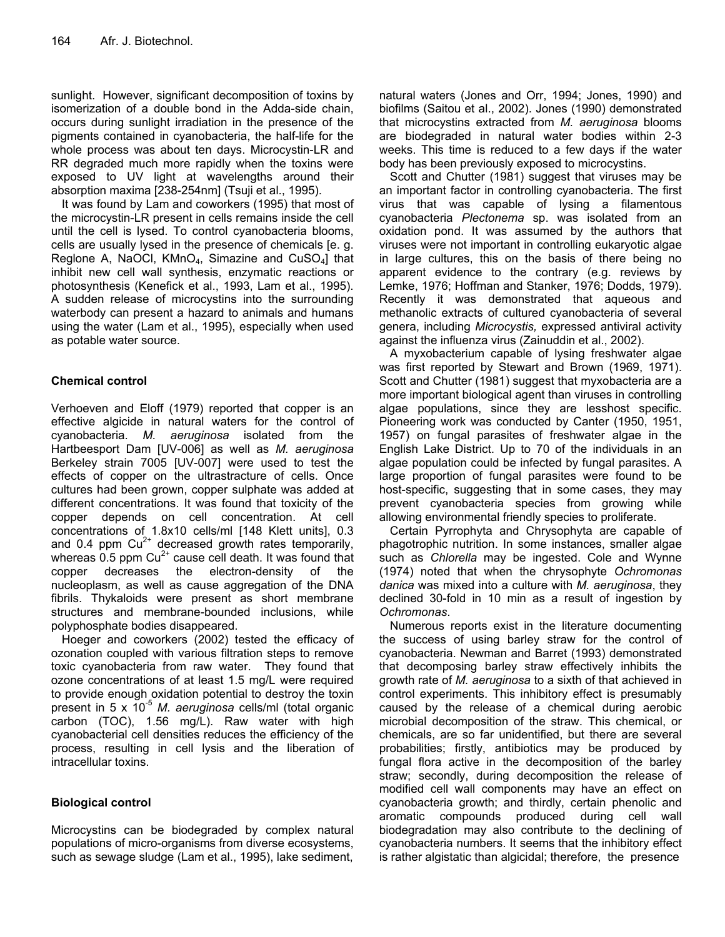sunlight. However, significant decomposition of toxins by isomerization of a double bond in the Adda-side chain, occurs during sunlight irradiation in the presence of the pigments contained in cyanobacteria, the half-life for the whole process was about ten days. Microcystin-LR and RR degraded much more rapidly when the toxins were exposed to UV light at wavelengths around their absorption maxima [238-254nm] (Tsuji et al., 1995).

It was found by Lam and coworkers (1995) that most of the microcystin-LR present in cells remains inside the cell until the cell is lysed. To control cyanobacteria blooms, cells are usually lysed in the presence of chemicals [e. g. Reglone A, NaOCI,  $KMnO<sub>4</sub>$ , Simazine and CuSO<sub>4</sub>] that inhibit new cell wall synthesis, enzymatic reactions or photosynthesis (Kenefick et al., 1993, Lam et al., 1995). A sudden release of microcystins into the surrounding waterbody can present a hazard to animals and humans using the water (Lam et al., 1995), especially when used as potable water source.

## **Chemical control**

Verhoeven and Eloff (1979) reported that copper is an effective algicide in natural waters for the control of cyanobacteria. *M. aeruginosa* isolated from the Hartbeesport Dam [UV-006] as well as *M. aeruginosa* Berkeley strain 7005 [UV-007] were used to test the effects of copper on the ultrastracture of cells. Once cultures had been grown, copper sulphate was added at different concentrations. It was found that toxicity of the copper depends on cell concentration. At cell concentrations of 1.8x10 cells/ml [148 Klett units], 0.3 and 0.4 ppm  $Cu^{2+}$  decreased growth rates temporarily, whereas 0.5 ppm  $Cu^{2+}$  cause cell death. It was found that copper decreases the electron-density of the nucleoplasm, as well as cause aggregation of the DNA fibrils. Thykaloids were present as short membrane structures and membrane-bounded inclusions, while polyphosphate bodies disappeared.

Hoeger and coworkers (2002) tested the efficacy of ozonation coupled with various filtration steps to remove toxic cyanobacteria from raw water. They found that ozone concentrations of at least 1.5 mg/L were required to provide enough oxidation potential to destroy the toxin present in 5 x 10<sup>-5</sup> *M. aeruginosa* cells/ml (total organic carbon (TOC), 1.56 mg/L). Raw water with high cyanobacterial cell densities reduces the efficiency of the process, resulting in cell lysis and the liberation of intracellular toxins.

## **Biological control**

Microcystins can be biodegraded by complex natural populations of micro-organisms from diverse ecosystems, such as sewage sludge (Lam et al., 1995), lake sediment,

natural waters (Jones and Orr, 1994; Jones, 1990) and biofilms (Saitou et al., 2002). Jones (1990) demonstrated that microcystins extracted from *M. aeruginosa* blooms are biodegraded in natural water bodies within 2-3 weeks. This time is reduced to a few days if the water body has been previously exposed to microcystins.

Scott and Chutter (1981) suggest that viruses may be an important factor in controlling cyanobacteria. The first virus that was capable of lysing a filamentous cyanobacteria *Plectonema* sp. was isolated from an oxidation pond. It was assumed by the authors that viruses were not important in controlling eukaryotic algae in large cultures, this on the basis of there being no apparent evidence to the contrary (e.g. reviews by Lemke, 1976; Hoffman and Stanker, 1976; Dodds, 1979). Recently it was demonstrated that aqueous and methanolic extracts of cultured cyanobacteria of several genera, including *Microcystis,* expressed antiviral activity against the influenza virus (Zainuddin et al., 2002).

A myxobacterium capable of lysing freshwater algae was first reported by Stewart and Brown (1969, 1971). Scott and Chutter (1981) suggest that myxobacteria are a more important biological agent than viruses in controlling algae populations, since they are lesshost specific. Pioneering work was conducted by Canter (1950, 1951, 1957) on fungal parasites of freshwater algae in the English Lake District. Up to 70 of the individuals in an algae population could be infected by fungal parasites. A large proportion of fungal parasites were found to be host-specific, suggesting that in some cases, they may prevent cyanobacteria species from growing while allowing environmental friendly species to proliferate.

Certain Pyrrophyta and Chrysophyta are capable of phagotrophic nutrition. In some instances, smaller algae such as *Chlorella* may be ingested. Cole and Wynne (1974) noted that when the chrysophyte *Ochromonas danica* was mixed into a culture with *M. aeruginosa*, they declined 30-fold in 10 min as a result of ingestion by *Ochromonas*.

Numerous reports exist in the literature documenting the success of using barley straw for the control of cyanobacteria. Newman and Barret (1993) demonstrated that decomposing barley straw effectively inhibits the growth rate of *M. aeruginosa* to a sixth of that achieved in control experiments. This inhibitory effect is presumably caused by the release of a chemical during aerobic microbial decomposition of the straw. This chemical, or chemicals, are so far unidentified, but there are several probabilities; firstly, antibiotics may be produced by fungal flora active in the decomposition of the barley straw; secondly, during decomposition the release of modified cell wall components may have an effect on cyanobacteria growth; and thirdly, certain phenolic and aromatic compounds produced during cell wall biodegradation may also contribute to the declining of cyanobacteria numbers. It seems that the inhibitory effect is rather algistatic than algicidal; therefore, the presence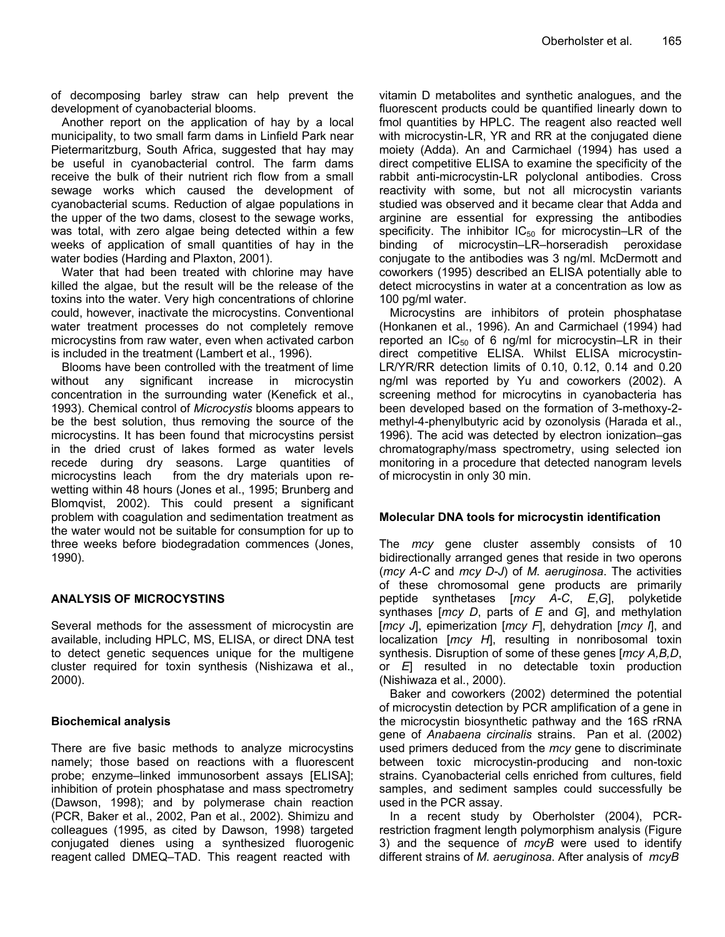of decomposing barley straw can help prevent the development of cyanobacterial blooms.

Another report on the application of hay by a local municipality, to two small farm dams in Linfield Park near Pietermaritzburg, South Africa, suggested that hay may be useful in cyanobacterial control. The farm dams receive the bulk of their nutrient rich flow from a small sewage works which caused the development of cyanobacterial scums. Reduction of algae populations in the upper of the two dams, closest to the sewage works, was total, with zero algae being detected within a few weeks of application of small quantities of hay in the water bodies (Harding and Plaxton, 2001).

Water that had been treated with chlorine may have killed the algae, but the result will be the release of the toxins into the water. Very high concentrations of chlorine could, however, inactivate the microcystins. Conventional water treatment processes do not completely remove microcystins from raw water, even when activated carbon is included in the treatment (Lambert et al., 1996).

Blooms have been controlled with the treatment of lime without any significant increase in microcystin concentration in the surrounding water (Kenefick et al., 1993). Chemical control of *Microcystis* blooms appears to be the best solution, thus removing the source of the microcystins. It has been found that microcystins persist in the dried crust of lakes formed as water levels recede during dry seasons. Large quantities of microcystins leach from the dry materials upon rewetting within 48 hours (Jones et al., 1995; Brunberg and Blomqvist, 2002). This could present a significant problem with coagulation and sedimentation treatment as the water would not be suitable for consumption for up to three weeks before biodegradation commences (Jones, 1990).

## **ANALYSIS OF MICROCYSTINS**

Several methods for the assessment of microcystin are available, including HPLC, MS, ELISA, or direct DNA test to detect genetic sequences unique for the multigene cluster required for toxin synthesis (Nishizawa et al., 2000).

## **Biochemical analysis**

There are five basic methods to analyze microcystins namely; those based on reactions with a fluorescent probe; enzyme–linked immunosorbent assays [ELISA]; inhibition of protein phosphatase and mass spectrometry (Dawson, 1998); and by polymerase chain reaction (PCR, Baker et al., 2002, Pan et al., 2002). Shimizu and colleagues (1995, as cited by Dawson, 1998) targeted conjugated dienes using a synthesized fluorogenic reagent called DMEQ–TAD. This reagent reacted with

vitamin D metabolites and synthetic analogues, and the fluorescent products could be quantified linearly down to fmol quantities by HPLC. The reagent also reacted well with microcystin-LR, YR and RR at the conjugated diene moiety (Adda). An and Carmichael (1994) has used a direct competitive ELISA to examine the specificity of the rabbit anti-microcystin-LR polyclonal antibodies. Cross reactivity with some, but not all microcystin variants studied was observed and it became clear that Adda and arginine are essential for expressing the antibodies specificity. The inhibitor  $IC_{50}$  for microcystin–LR of the binding of microcystin–LR–horseradish peroxidase conjugate to the antibodies was 3 ng/ml. McDermott and coworkers (1995) described an ELISA potentially able to detect microcystins in water at a concentration as low as 100 pg/ml water.

Microcystins are inhibitors of protein phosphatase (Honkanen et al., 1996). An and Carmichael (1994) had reported an  $IC_{50}$  of 6 ng/ml for microcystin–LR in their direct competitive ELISA. Whilst ELISA microcystin-LR/YR/RR detection limits of 0.10, 0.12, 0.14 and 0.20 ng/ml was reported by Yu and coworkers (2002). A screening method for microcytins in cyanobacteria has been developed based on the formation of 3-methoxy-2 methyl-4-phenylbutyric acid by ozonolysis (Harada et al., 1996). The acid was detected by electron ionization–gas chromatography/mass spectrometry, using selected ion monitoring in a procedure that detected nanogram levels of microcystin in only 30 min.

## **Molecular DNA tools for microcystin identification**

The *mcy* gene cluster assembly consists of 10 bidirectionally arranged genes that reside in two operons (*mcy A-C* and *mcy D-J*) of *M. aeruginosa*. The activities of these chromosomal gene products are primarily peptide synthetases [*mcy A-C*, *E*,*G*], polyketide synthases [*mcy D*, parts of *E* and *G*], and methylation [*mcy J*], epimerization [*mcy F*], dehydration [*mcy I*], and localization [*mcy H*], resulting in nonribosomal toxin synthesis. Disruption of some of these genes [*mcy A,B,D*, or *E*] resulted in no detectable toxin production (Nishiwaza et al., 2000).

Baker and coworkers (2002) determined the potential of microcystin detection by PCR amplification of a gene in the microcystin biosynthetic pathway and the 16S rRNA gene of *Anabaena circinalis* strains. Pan et al. (2002) used primers deduced from the *mcy* gene to discriminate between toxic microcystin-producing and non-toxic strains. Cyanobacterial cells enriched from cultures, field samples, and sediment samples could successfully be used in the PCR assay.

In a recent study by Oberholster (2004), PCRrestriction fragment length polymorphism analysis (Figure 3) and the sequence of *mcyB* were used to identify different strains of *M. aeruginosa*. After analysis of *mcyB*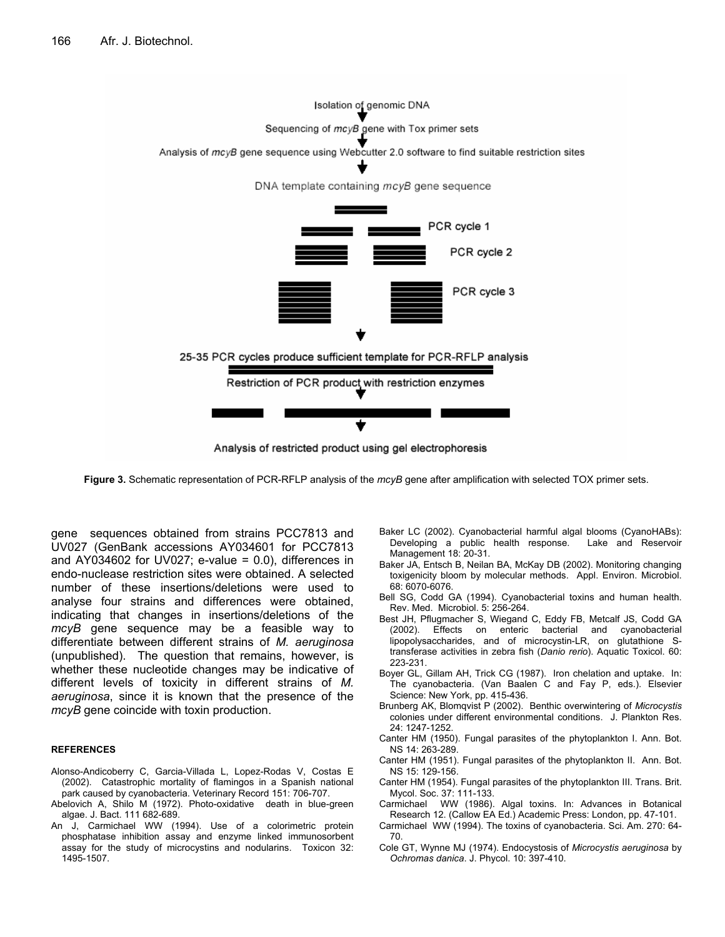

Analysis of restricted product using gel electrophoresis

**Figure 3.** Schematic representation of PCR-RFLP analysis of the *mcyB* gene after amplification with selected TOX primer sets.

gene sequences obtained from strains PCC7813 and UV027 (GenBank accessions AY034601 for PCC7813 and AY034602 for UV027; e-value =  $0.0$ ), differences in endo-nuclease restriction sites were obtained. A selected number of these insertions/deletions were used to analyse four strains and differences were obtained, indicating that changes in insertions/deletions of the *mcyB* gene sequence may be a feasible way to differentiate between different strains of *M. aeruginosa* (unpublished). The question that remains, however, is whether these nucleotide changes may be indicative of different levels of toxicity in different strains of *M. aeruginosa*, since it is known that the presence of the *mcyB* gene coincide with toxin production.

#### **REFERENCES**

- Alonso-Andicoberry C, Garcia-Villada L, Lopez-Rodas V, Costas E (2002). Catastrophic mortality of flamingos in a Spanish national park caused by cyanobacteria. Veterinary Record 151: 706-707.
- Abelovich A, Shilo M (1972). Photo-oxidative death in blue-green algae. J. Bact. 111 682-689.
- An J, Carmichael WW (1994). Use of a colorimetric protein phosphatase inhibition assay and enzyme linked immunosorbent assay for the study of microcystins and nodularins. Toxicon 32: 1495-1507.
- Baker LC (2002). Cyanobacterial harmful algal blooms (CyanoHABs): Developing a public health response. Lake and Reservoir Management 18: 20-31.
- Baker JA, Entsch B, Neilan BA, McKay DB (2002). Monitoring changing toxigenicity bloom by molecular methods. Appl. Environ. Microbiol. 68: 6070-6076.
- Bell SG, Codd GA (1994). Cyanobacterial toxins and human health. Rev. Med. Microbiol. 5: 256-264.
- Best JH, Pflugmacher S, Wiegand C, Eddy FB, Metcalf JS, Codd GA (2002). Effects on enteric bacterial and cyanobacterial lipopolysaccharides, and of microcystin-LR, on glutathione Stransferase activities in zebra fish (*Danio rerio*). Aquatic Toxicol. 60: 223-231.
- Boyer GL, Gillam AH, Trick CG (1987). Iron chelation and uptake. In: The cyanobacteria. (Van Baalen C and Fay P, eds.). Elsevier Science: New York, pp. 415-436.
- Brunberg AK, Blomqvist P (2002). Benthic overwintering of *Microcystis* colonies under different environmental conditions. J. Plankton Res. 24: 1247-1252.
- Canter HM (1950). Fungal parasites of the phytoplankton I. Ann. Bot. NS 14: 263-289.
- Canter HM (1951). Fungal parasites of the phytoplankton II. Ann. Bot. NS 15: 129-156.
- Canter HM (1954). Fungal parasites of the phytoplankton III. Trans. Brit. Mycol. Soc. 37: 111-133.
- Carmichael WW (1986). Algal toxins. In: Advances in Botanical Research 12. (Callow EA Ed.) Academic Press: London, pp. 47-101.
- Carmichael WW (1994). The toxins of cyanobacteria. Sci. Am. 270: 64- 70.
- Cole GT, Wynne MJ (1974). Endocystosis of *Microcystis aeruginosa* by *Ochromas danica*. J. Phycol. 10: 397-410.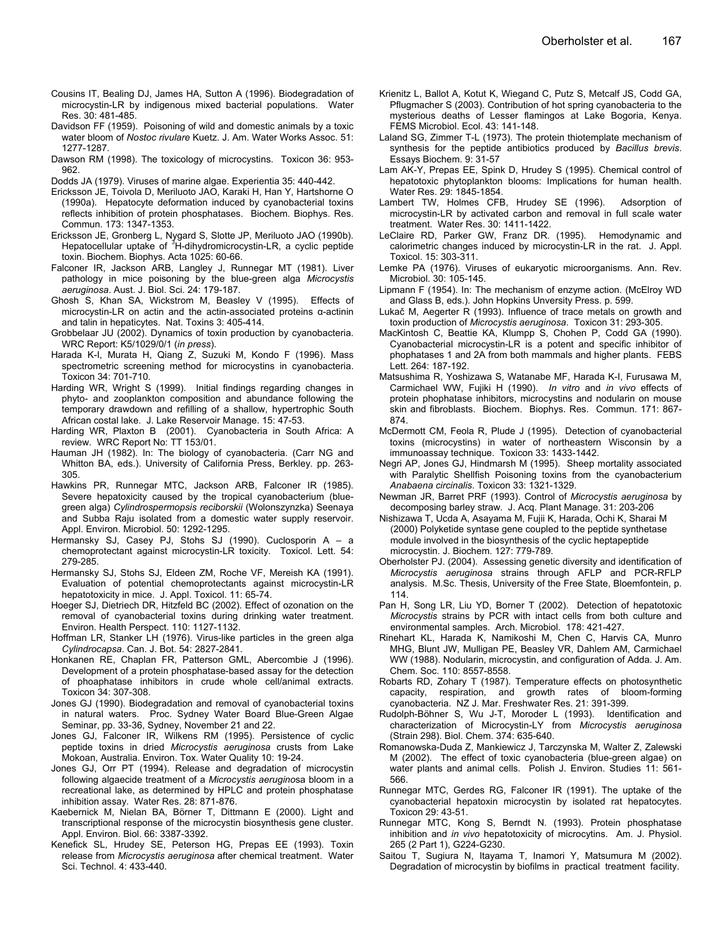- Cousins IT, Bealing DJ, James HA, Sutton A (1996). Biodegradation of microcystin-LR by indigenous mixed bacterial populations. Water Res. 30: 481-485.
- Davidson FF (1959). Poisoning of wild and domestic animals by a toxic water bloom of *Nostoc rivulare* Kuetz. J. Am. Water Works Assoc. 51: 1277-1287.
- Dawson RM (1998). The toxicology of microcystins. Toxicon 36: 953- 962.
- Dodds JA (1979). Viruses of marine algae. Experientia 35: 440-442.
- Ericksson JE, Toivola D, Meriluoto JAO, Karaki H, Han Y, Hartshorne O (1990a). Hepatocyte deformation induced by cyanobacterial toxins reflects inhibition of protein phosphatases. Biochem. Biophys. Res. Commun. 173: 1347-1353.
- Ericksson JE, Gronberg L, Nygard S, Slotte JP, Meriluoto JAO (1990b). Hepatocellular uptake of <sup>3</sup>H-dihydromicrocystin-LR, a cyclic peptide toxin. Biochem. Biophys. Acta 1025: 60-66.
- Falconer IR, Jackson ARB, Langley J, Runnegar MT (1981). Liver pathology in mice poisoning by the blue-green alga *Microcystis aeruginosa*. Aust. J. Biol. Sci. 24: 179-187.
- Ghosh S, Khan SA, Wickstrom M, Beasley V (1995). Effects of microcystin-LR on actin and the actin-associated proteins α-actinin and talin in hepaticytes. Nat. Toxins 3: 405-414.
- Grobbelaar JU (2002). Dynamics of toxin production by cyanobacteria. WRC Report: K5/1029/0/1 (*in press*).
- Harada K-I, Murata H, Qiang Z, Suzuki M, Kondo F (1996). Mass spectrometric screening method for microcystins in cyanobacteria. Toxicon 34: 701-710.
- Harding WR, Wright S (1999). Initial findings regarding changes in phyto- and zooplankton composition and abundance following the temporary drawdown and refilling of a shallow, hypertrophic South African costal lake. J. Lake Reservoir Manage. 15: 47-53.
- Harding WR, Plaxton B (2001). Cyanobacteria in South Africa: A review. WRC Report No: TT 153/01.
- Hauman JH (1982). In: The biology of cyanobacteria. (Carr NG and Whitton BA, eds.). University of California Press, Berkley. pp. 263- 305.
- Hawkins PR, Runnegar MTC, Jackson ARB, Falconer IR (1985). Severe hepatoxicity caused by the tropical cyanobacterium (bluegreen alga) *Cylindrospermopsis reciborskii* (Wolonszynzka) Seenaya and Subba Raju isolated from a domestic water supply reservoir. Appl. Environ. Microbiol. 50: 1292-1295.
- Hermansky SJ, Casey PJ, Stohs SJ (1990). Cuclosporin A a chemoprotectant against microcystin-LR toxicity. Toxicol. Lett. 54: 279-285.
- Hermansky SJ, Stohs SJ, Eldeen ZM, Roche VF, Mereish KA (1991). Evaluation of potential chemoprotectants against microcystin-LR hepatotoxicity in mice. J. Appl. Toxicol. 11: 65-74.
- Hoeger SJ, Dietriech DR, Hitzfeld BC (2002). Effect of ozonation on the removal of cyanobacterial toxins during drinking water treatment. Environ. Health Perspect. 110: 1127-1132.
- Hoffman LR, Stanker LH (1976). Virus-like particles in the green alga *Cylindrocapsa*. Can. J. Bot. 54: 2827-2841.
- Honkanen RE, Chaplan FR, Patterson GML, Abercombie J (1996). Development of a protein phosphatase-based assay for the detection of phoaphatase inhibitors in crude whole cell/animal extracts. Toxicon 34: 307-308.
- Jones GJ (1990). Biodegradation and removal of cyanobacterial toxins in natural waters. Proc. Sydney Water Board Blue-Green Algae Seminar, pp. 33-36, Sydney, November 21 and 22.
- Jones GJ, Falconer IR, Wilkens RM (1995). Persistence of cyclic peptide toxins in dried *Microcystis aeruginosa* crusts from Lake Mokoan, Australia. Environ. Tox. Water Quality 10: 19-24.
- Jones GJ, Orr PT (1994). Release and degradation of microcystin following algaecide treatment of a *Microcystis aerugino*sa bloom in a recreational lake, as determined by HPLC and protein phosphatase inhibition assay. Water Res. 28: 871-876.
- Kaebernick M, Nielan BA, Börner T, Dittmann E (2000). Light and transcriptional response of the microcystin biosynthesis gene cluster. Appl. Environ. Biol. 66: 3387-3392.
- Kenefick SL, Hrudey SE, Peterson HG, Prepas EE (1993). Toxin release from *Microcystis aeruginosa* after chemical treatment. Water Sci. Technol. 4: 433-440.
- Krienitz L, Ballot A, Kotut K, Wiegand C, Putz S, Metcalf JS, Codd GA, Pflugmacher S (2003). Contribution of hot spring cyanobacteria to the mysterious deaths of Lesser flamingos at Lake Bogoria, Kenya. FEMS Microbiol. Ecol. 43: 141-148.
- Laland SG, Zimmer T-L (1973). The protein thiotemplate mechanism of synthesis for the peptide antibiotics produced by *Bacillus brevis*. Essays Biochem. 9: 31-57
- Lam AK-Y, Prepas EE, Spink D, Hrudey S (1995). Chemical control of hepatotoxic phytoplankton blooms: Implications for human health. Water Res. 29: 1845-1854.
- Lambert TW, Holmes CFB, Hrudey SE (1996). Adsorption of microcystin-LR by activated carbon and removal in full scale water treatment. Water Res. 30: 1411-1422.
- LeClaire RD, Parker GW, Franz DR. (1995). Hemodynamic and calorimetric changes induced by microcystin-LR in the rat. J. Appl. Toxicol. 15: 303-311.
- Lemke PA (1976). Viruses of eukaryotic microorganisms. Ann. Rev. Microbiol. 30: 105-145.
- Lipmann F (1954). In: The mechanism of enzyme action. (McElroy WD and Glass B, eds.). John Hopkins Unversity Press. p. 599.
- Lukač M, Aegerter R (1993). Influence of trace metals on growth and toxin production of *Microcystis aeruginosa*. Toxicon 31: 293-305.
- MacKintosh C, Beattie KA, Klumpp S, Chohen P, Codd GA (1990). Cyanobacterial microcystin-LR is a potent and specific inhibitor of phophatases 1 and 2A from both mammals and higher plants. FEBS Lett. 264: 187-192.
- Matsushima R, Yoshizawa S, Watanabe MF, Harada K-I, Furusawa M, Carmichael WW, Fujiki H (1990). *In vitro* and *in vivo* effects of protein phophatase inhibitors, microcystins and nodularin on mouse skin and fibroblasts. Biochem. Biophys. Res. Commun. 171: 867- 874.
- McDermott CM, Feola R, Plude J (1995). Detection of cyanobacterial toxins (microcystins) in water of northeastern Wisconsin by a immunoassay technique. Toxicon 33: 1433-1442.
- Negri AP, Jones GJ, Hindmarsh M (1995). Sheep mortality associated with Paralytic Shellfish Poisoning toxins from the cyanobacterium *Anabaena circinalis*. Toxicon 33: 1321-1329.
- Newman JR, Barret PRF (1993). Control of *Microcystis aeruginosa* by decomposing barley straw. J. Acq. Plant Manage. 31: 203-206
- Nishizawa T, Ucda A, Asayama M, Fujii K, Harada, Ochi K, Sharai M (2000) Polyketide syntase gene coupled to the peptide synthetase module involved in the biosynthesis of the cyclic heptapeptide microcystin. J. Biochem. 127: 779-789.
- Oberholster PJ. (2004). Assessing genetic diversity and identification of *Microcystis aeruginosa* strains through AFLP and PCR-RFLP analysis. M.Sc. Thesis, University of the Free State, Bloemfontein, p. 114.
- Pan H, Song LR, Liu YD, Borner T (2002). Detection of hepatotoxic *Microcystis* strains by PCR with intact cells from both culture and environmental samples. Arch. Microbiol. 178: 421-427.
- Rinehart KL, Harada K, Namikoshi M, Chen C, Harvis CA, Munro MHG, Blunt JW, Mulligan PE, Beasley VR, Dahlem AM, Carmichael WW (1988). Nodularin, microcystin, and configuration of Adda. J. Am. Chem. Soc. 110: 8557-8558.
- Robarts RD, Zohary T (1987). Temperature effects on photosynthetic capacity, respiration, and growth rates of bloom-forming cyanobacteria. NZ J. Mar. Freshwater Res. 21: 391-399.
- Rudolph-Böhner S, Wu J-T, Moroder L (1993). Identification and characterization of Microcystin-LY from *Microcystis aeruginosa* (Strain 298). Biol. Chem. 374: 635-640.
- Romanowska-Duda Z, Mankiewicz J, Tarczynska M, Walter Z, Zalewski M (2002). The effect of toxic cyanobacteria (blue-green algae) on water plants and animal cells. Polish J. Environ. Studies 11: 561- 566.
- Runnegar MTC, Gerdes RG, Falconer IR (1991). The uptake of the cyanobacterial hepatoxin microcystin by isolated rat hepatocytes. Toxicon 29: 43-51.
- Runnegar MTC, Kong S, Berndt N. (1993). Protein phosphatase inhibition and *in vivo* hepatotoxicity of microcytins. Am. J. Physiol. 265 (2 Part 1), G224-G230.
- Saitou T, Sugiura N, Itayama T, Inamori Y, Matsumura M (2002). Degradation of microcystin by biofilms in practical treatment facility.